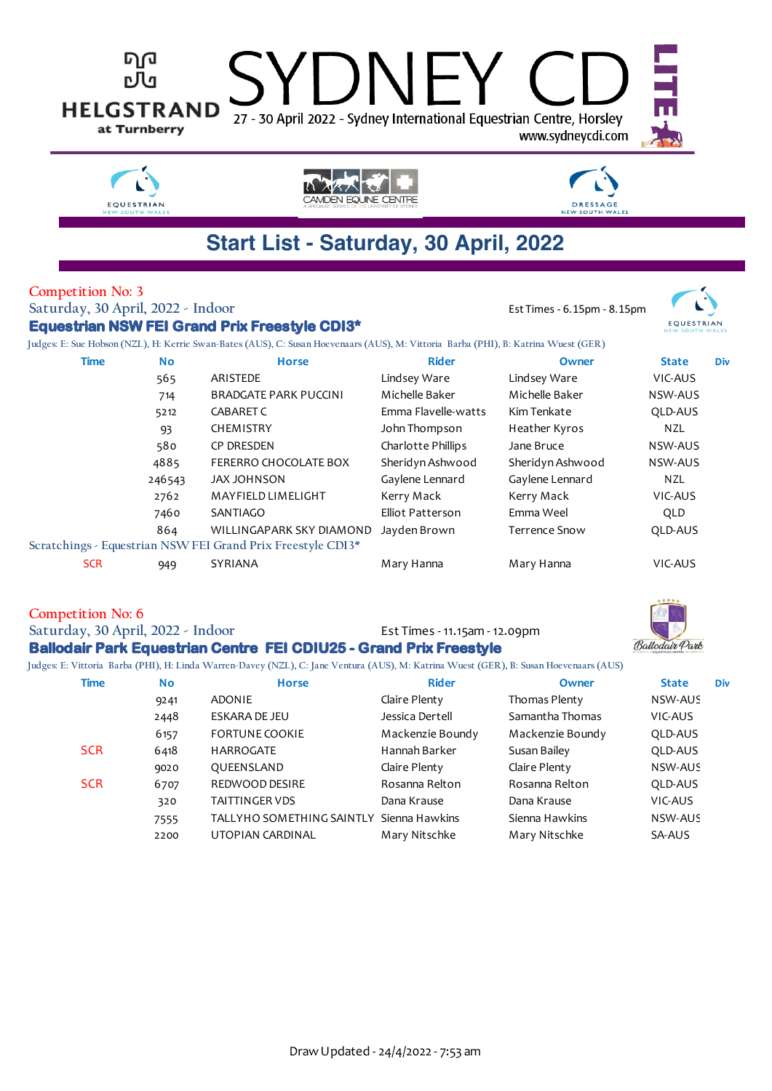

#### **Competition No: 6**

**Saturday, 30 April, 2022 - Indoor** Est Times - 11.15am - 12.09pm

### **Ballodair Park Equestrian Centre FEI CDIU25 - Grand Prix Freestyle**

**Judges: E: Vittoria Barba (PHI), H: Linda Warren-Davey (NZL), C: Jane Ventura (AUS), M: Katrina Wuest (GER), B: Susan Hoevenaars (AUS)**

| Time       | <b>No</b> | <b>Horse</b>              | <b>Rider</b>     | Owner            | <b>State</b><br>Div |
|------------|-----------|---------------------------|------------------|------------------|---------------------|
|            | 9241      | ADONIE                    | Claire Plenty    | Thomas Plenty    | NSW-AUS             |
|            | 2448      | ESKARA DE JEU             | Jessica Dertell  | Samantha Thomas  | VIC-AUS             |
|            | 6157      | <b>FORTUNE COOKIE</b>     | Mackenzie Boundy | Mackenzie Boundy | QLD-AUS             |
| <b>SCR</b> | 6418      | <b>HARROGATE</b>          | Hannah Barker    | Susan Bailey     | QLD-AUS             |
|            | 9020      | QUEENSLAND                | Claire Plenty    | Claire Plenty    | NSW-AUS             |
| <b>SCR</b> | 6707      | REDWOOD DESIRE            | Rosanna Relton   | Rosanna Relton   | QLD-AUS             |
|            | 320       | TAITTINGER VDS            | Dana Krause      | Dana Krause      | VIC-AUS             |
|            | 7555      | TALLYHO SOMETHING SAINTLY | Sienna Hawkins   | Sienna Hawkins   | NSW-AUS             |
|            | 2200      | UTOPIAN CARDINAL          | Mary Nitschke    | Mary Nitschke    | SA-AUS              |

Ballodair Park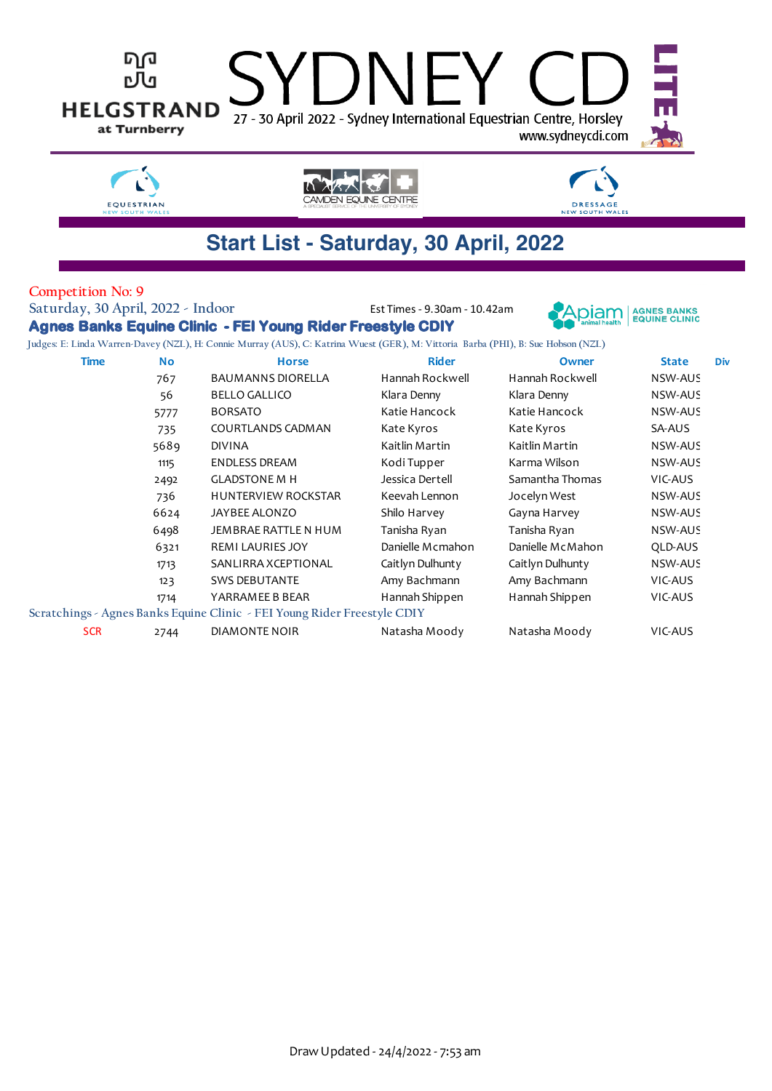

 REMI LAURIES JOY Danielle Mcmahon Danielle McMahon QLD-AUS SANLIRRA XCEPTIONAL Caitlyn Dulhunty Caitlyn Dulhunty NSW-AUS 123 SWS DEBUTANTE Amy Bachmann Amy Bachmann SIC-AUS YARRAMEE B BEAR Hannah Shippen Hannah Shippen VIC-AUS

SCR 2744 DIAMONTE NOIR Natasha Moody Natasha Moody VIC-AUS

**Scratchings - Agnes Banks Equine Clinic - FEI Young Rider Freestyle CDIY**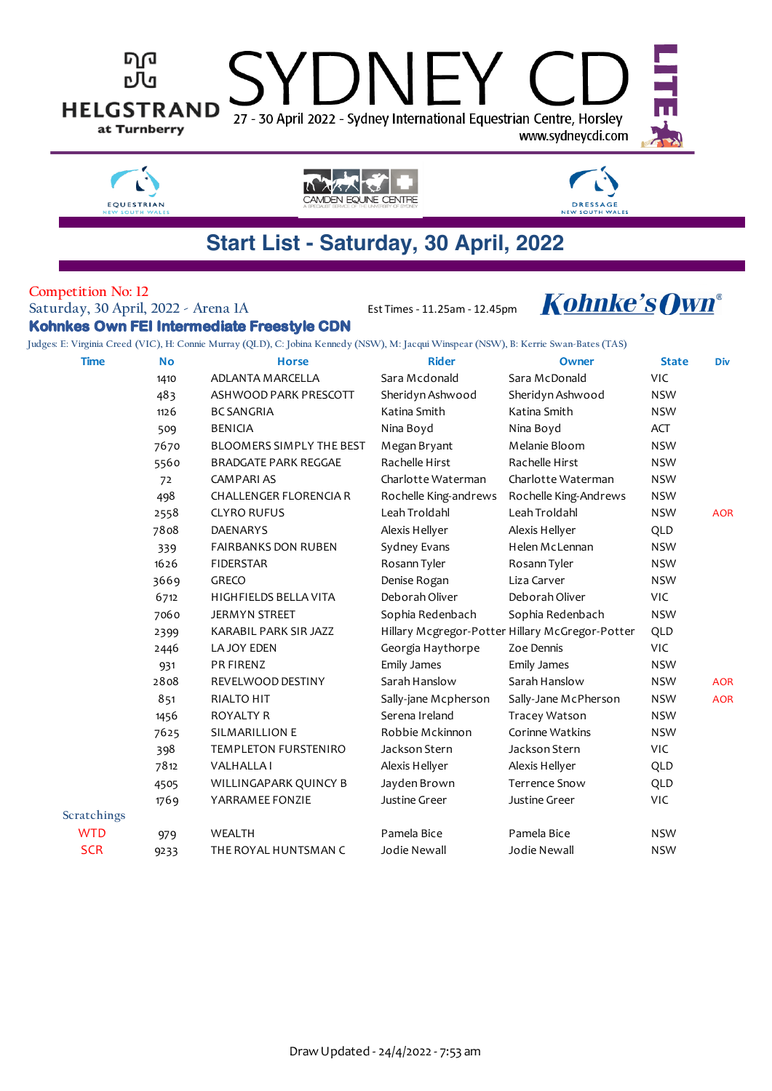



CAMDEN EQUINE CENTRE

### **Competition No: 12**

**Saturday, 30 April, 2022 - Arena 1A** Est Times - 11.25am - 12.45pm

EQUESTRIAN

**Kohnkes Own FEI Intermediate Freestyle CDN**

# **Kohnke's Own®**

**DRESSAGE**<br>NEW SOUTH WA

**Judges: E: Virginia Creed (VIC), H: Connie Murray (QLD), C: Jobina Kennedy (NSW), M: Jacqui Winspear (NSW), B: Kerrie Swan-Bates (TAS)**

| <b>Time</b> | <b>No</b> | <b>Horse</b>                    | <b>Rider</b>          | Owner                                           | <b>State</b> | Div        |
|-------------|-----------|---------------------------------|-----------------------|-------------------------------------------------|--------------|------------|
|             | 1410      | ADLANTA MARCELLA                | Sara Mcdonald         | Sara McDonald                                   | <b>VIC</b>   |            |
|             | 483       | ASHWOOD PARK PRESCOTT           | Sheridyn Ashwood      | Sheridyn Ashwood                                | <b>NSW</b>   |            |
|             | 1126      | <b>BC SANGRIA</b>               | Katina Smith          | Katina Smith                                    | <b>NSW</b>   |            |
|             | 509       | <b>BENICIA</b>                  | Nina Boyd             | Nina Boyd                                       | <b>ACT</b>   |            |
|             | 7670      | <b>BLOOMERS SIMPLY THE BEST</b> | Megan Bryant          | Melanie Bloom                                   | <b>NSW</b>   |            |
|             | 5560      | <b>BRADGATE PARK REGGAE</b>     | Rachelle Hirst        | Rachelle Hirst                                  | <b>NSW</b>   |            |
|             | 72        | <b>CAMPARIAS</b>                | Charlotte Waterman    | Charlotte Waterman                              | <b>NSW</b>   |            |
|             | 498       | <b>CHALLENGER FLORENCIA R</b>   | Rochelle King-andrews | Rochelle King-Andrews                           | <b>NSW</b>   |            |
|             | 2558      | <b>CLYRO RUFUS</b>              | Leah Troldahl         | Leah Troldahl                                   | <b>NSW</b>   | <b>AOR</b> |
|             | 7808      | <b>DAENARYS</b>                 | Alexis Hellyer        | Alexis Hellyer                                  | QLD          |            |
|             | 339       | <b>FAIRBANKS DON RUBEN</b>      | Sydney Evans          | Helen McLennan                                  | <b>NSW</b>   |            |
|             | 1626      | <b>FIDERSTAR</b>                | Rosann Tyler          | Rosann Tyler                                    | <b>NSW</b>   |            |
|             | 3669      | GRECO                           | Denise Rogan          | Liza Carver                                     | <b>NSW</b>   |            |
|             | 6712      | HIGHFIELDS BELLA VITA           | Deborah Oliver        | Deborah Oliver                                  | <b>VIC</b>   |            |
|             | 7060      | <b>JERMYN STREET</b>            | Sophia Redenbach      | Sophia Redenbach                                | <b>NSW</b>   |            |
|             | 2399      | KARABIL PARK SIR JAZZ           |                       | Hillary Mcgregor-Potter Hillary McGregor-Potter | QLD          |            |
|             | 2446      | LA JOY EDEN                     | Georgia Haythorpe     | Zoe Dennis                                      | VIC          |            |
|             | 931       | PR FIRENZ                       | <b>Emily James</b>    | <b>Emily James</b>                              | <b>NSW</b>   |            |
|             | 2808      | REVELWOOD DESTINY               | Sarah Hanslow         | Sarah Hanslow                                   | <b>NSW</b>   | <b>AOR</b> |
|             | 851       | <b>RIALTO HIT</b>               | Sally-jane Mcpherson  | Sally-Jane McPherson                            | <b>NSW</b>   | <b>AOR</b> |
|             | 1456      | <b>ROYALTY R</b>                | Serena Ireland        | Tracey Watson                                   | <b>NSW</b>   |            |
|             | 7625      | <b>SILMARILLION E</b>           | Robbie Mckinnon       | Corinne Watkins                                 | <b>NSW</b>   |            |
|             | 398       | TEMPLETON FURSTENIRO            | Jackson Stern         | Jackson Stern                                   | VIC          |            |
|             | 7812      | <b>VALHALLAI</b>                | Alexis Hellyer        | Alexis Hellyer                                  | QLD          |            |
|             | 4505      | WILLINGAPARK QUINCY B           | Jayden Brown          | <b>Terrence Snow</b>                            | QLD          |            |
|             | 1769      | YARRAMEE FONZIE                 | Justine Greer         | Justine Greer                                   | <b>VIC</b>   |            |
| Scratchings |           |                                 |                       |                                                 |              |            |
| <b>WTD</b>  | 979       | <b>WEALTH</b>                   | Pamela Bice           | Pamela Bice                                     | <b>NSW</b>   |            |
| <b>SCR</b>  | 9233      | THE ROYAL HUNTSMAN C            | Jodie Newall          | Jodie Newall                                    | <b>NSW</b>   |            |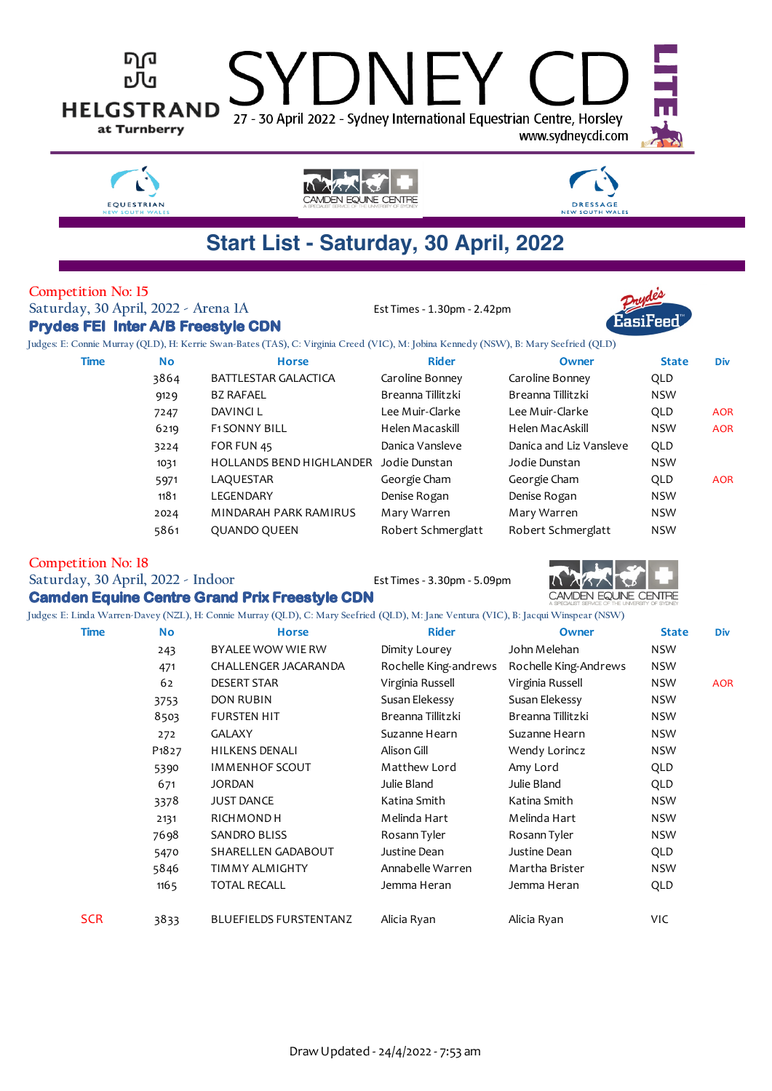

### **Start List - Saturday, 30 April, 2022**

### **Competition No: 15**

EQUESTRIAN

**Prydes FEI Inter A/B Freestyle CDN**

**Saturday, 30 April, 2022 - Arena 1A** Est Times - 1.30pm - 2.42pm



**Judges: E: Connie Murray (QLD), H: Kerrie Swan-Bates (TAS), C: Virginia Creed (VIC), M: Jobina Kennedy (NSW), B: Mary Seefried (QLD)**

| <b>Time</b> | <b>No</b> | <b>Horse</b>                    | <b>Rider</b>       | Owner                   | <b>State</b> | <b>Div</b> |
|-------------|-----------|---------------------------------|--------------------|-------------------------|--------------|------------|
|             | 3864      | <b>BATTLESTAR GALACTICA</b>     | Caroline Bonney    | Caroline Bonney         | QLD          |            |
|             | 9129      | <b>BZ RAFAEL</b>                | Breanna Tillitzki  | Breanna Tillitzki       | <b>NSW</b>   |            |
|             | 7247      | DAVINCI L                       | Lee Muir-Clarke    | Lee Muir-Clarke         | QLD          | <b>AOR</b> |
|             | 6219      | <b>F1SONNY BILL</b>             | Helen Macaskill    | Helen MacAskill         | <b>NSW</b>   | <b>AOR</b> |
|             | 3224      | FOR FUN 45                      | Danica Vansleve    | Danica and Liz Vansleve | QLD          |            |
|             | 1031      | <b>HOLLANDS BEND HIGHLANDER</b> | Jodie Dunstan      | Jodie Dunstan           | <b>NSW</b>   |            |
|             | 5971      | LAQUESTAR                       | Georgie Cham       | Georgie Cham            | QLD          | <b>AOR</b> |
|             | 1181      | LEGENDARY                       | Denise Rogan       | Denise Rogan            | <b>NSW</b>   |            |
|             | 2024      | MINDARAH PARK RAMIRUS           | Mary Warren        | Mary Warren             | <b>NSW</b>   |            |
|             | 5861      | QUANDO QUEEN                    | Robert Schmerglatt | Robert Schmerglatt      | <b>NSW</b>   |            |

**Competition No: 18**

Saturday, 30 April, 2022 - Indoor Est Times - 3.30pm - 5.09pm

**Camden Equine Centre Grand Prix Freestyle CDN**



**Judges: E: Linda Warren-Davey (NZL), H: Connie Murray (QLD), C: Mary Seefried (QLD), M: Jane Ventura (VIC), B: Jacqui Winspear (NSW)**

| Time       | <b>No</b>                      | <b>Horse</b>                  | <b>Rider</b>          | Owner                 | <b>State</b> | <b>Div</b> |
|------------|--------------------------------|-------------------------------|-----------------------|-----------------------|--------------|------------|
|            | 243                            | BYALEE WOW WIE RW             | Dimity Lourey         | John Melehan          | <b>NSW</b>   |            |
|            | 471                            | CHALLENGER JACARANDA          | Rochelle King-andrews | Rochelle King-Andrews | <b>NSW</b>   |            |
|            | 62                             | <b>DESERT STAR</b>            | Virginia Russell      | Virginia Russell      | NSW          | <b>AOR</b> |
|            | 3753                           | <b>DON RUBIN</b>              | Susan Elekessy        | Susan Elekessy        | <b>NSW</b>   |            |
|            | 8503                           | <b>FURSTEN HIT</b>            | Breanna Tillitzki     | Breanna Tillitzki     | <b>NSW</b>   |            |
|            | 272                            | <b>GALAXY</b>                 | Suzanne Hearn         | Suzanne Hearn         | <b>NSW</b>   |            |
|            | P <sub>1</sub> 8 <sub>27</sub> | <b>HILKENS DENALI</b>         | Alison Gill           | Wendy Lorincz         | <b>NSW</b>   |            |
|            | 5390                           | <b>IMMENHOF SCOUT</b>         | Matthew Lord          | Amy Lord              | QLD          |            |
|            | 671                            | <b>JORDAN</b>                 | Julie Bland           | Julie Bland           | QLD          |            |
|            | 3378                           | <b>JUST DANCE</b>             | Katina Smith          | Katina Smith          | NSW          |            |
|            | 2131                           | RICHMOND H                    | Melinda Hart          | Melinda Hart          | <b>NSW</b>   |            |
|            | 7698                           | <b>SANDRO BLISS</b>           | Rosann Tyler          | Rosann Tyler          | <b>NSW</b>   |            |
|            | 5470                           | SHARELLEN GADABOUT            | Justine Dean          | Justine Dean          | QLD          |            |
|            | 5846                           | TIMMY ALMIGHTY                | Annabelle Warren      | Martha Brister        | <b>NSW</b>   |            |
|            | 1165                           | <b>TOTAL RECALL</b>           | Jemma Heran           | Jemma Heran           | QLD          |            |
| <b>SCR</b> | 3833                           | <b>BLUEFIELDS FURSTENTANZ</b> | Alicia Ryan           | Alicia Ryan           | VIC.         |            |
|            |                                |                               |                       |                       |              |            |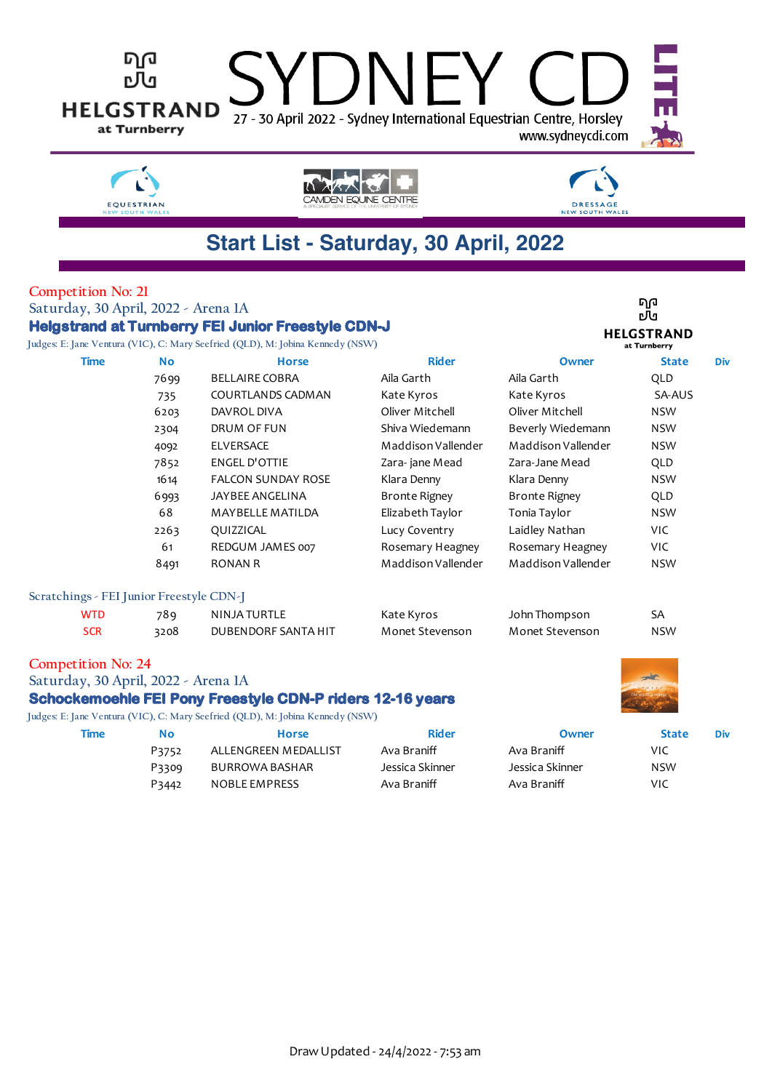| <b>NEW SOUTH WALE!</b><br>Start List - Saturday, 30 April, 2022<br><b>Competition No: 21</b><br>ባወ<br>Saturday, 30 April, 2022 - Arena 1A<br>ъU<br><b>Helgstrand at Turnberry FEI Junior Freestyle CDN-J</b><br><b>HELGSTRAND</b><br>Judges: E: Jane Ventura (VIC), C: Mary Seefried (QLD), M: Jobina Kennedy (NSW)<br>at Turnberry<br><b>Rider</b><br><b>Time</b><br><b>No</b><br><b>Horse</b><br>Owner<br><b>State</b><br>Div<br><b>BELLAIRE COBRA</b><br>Aila Garth<br>Aila Garth<br>7699<br>QLD<br>SA-AUS<br>COURTLANDS CADMAN<br>Kate Kyros<br>Kate Kyros<br>735<br>Oliver Mitchell<br>Oliver Mitchell<br><b>NSW</b><br>6203<br>DAVROL DIVA<br>Shiva Wiedemann<br>Beverly Wiedemann<br><b>NSW</b><br>DRUM OF FUN<br>2304<br><b>ELVERSACE</b><br>Maddison Vallender<br>Maddison Vallender<br><b>NSW</b><br>4092<br>7852<br><b>ENGEL D'OTTIE</b><br>Zara-jane Mead<br>Zara-Jane Mead<br>QLD<br>FALCON SUNDAY ROSE<br>Klara Denny<br><b>NSW</b><br>1614<br>Klara Denny<br>JAYBEE ANGELINA<br><b>Bronte Rigney</b><br><b>Bronte Rigney</b><br>QLD<br>6993<br>68<br>Elizabeth Taylor<br>Tonia Taylor<br><b>NSW</b><br>MAYBELLE MATILDA<br>Lucy Coventry<br>Laidley Nathan<br>VIC.<br>2263<br>QUIZZICAL<br>61<br>REDGUM JAMES 007<br>Rosemary Heagney<br>Rosemary Heagney<br><b>VIC</b><br>Maddison Vallender<br>Maddison Vallender<br><b>RONAN R</b><br><b>NSW</b><br>8491<br>Scratchings - FEI Junior Freestyle CDN-J<br><b>NINJA TURTLE</b><br><b>WTD</b><br>789<br>Kate Kyros<br>John Thompson<br>SA<br><b>SCR</b><br>Monet Stevenson<br><b>NSW</b><br>3208<br>DUBENDORF SANTA HIT<br>Monet Stevenson<br><b>Competition No: 24</b><br>Saturday, 30 April, 2022 - Arena 1A<br><b>Schockemoehle FEI Pony Freestyle CDN-P riders 12-16 years</b><br>Judges: E: Jane Ventura (VIC), C: Mary Seefried (QLD), M: Jobina Kennedy (NSW)<br><b>Rider</b><br><b>Time</b><br><b>No</b><br><b>Horse</b><br><b>State</b><br>Owner<br>Div<br>ALLENGREEN MEDALLIST<br>Ava Braniff<br>Ava Braniff<br><b>VIC</b><br>P3752<br>Jessica Skinner<br>Jessica Skinner<br><b>BURROWA BASHAR</b><br><b>NSW</b><br>P3309 | ባመ<br>நி<br><b>HELGSTRAND</b><br>27 - 30 April 2022 - Sydney International Equestrian Centre, Horsley<br>at Turnberry<br>www.sydneycdi.com |       |               |             |             |     |  |  |
|---------------------------------------------------------------------------------------------------------------------------------------------------------------------------------------------------------------------------------------------------------------------------------------------------------------------------------------------------------------------------------------------------------------------------------------------------------------------------------------------------------------------------------------------------------------------------------------------------------------------------------------------------------------------------------------------------------------------------------------------------------------------------------------------------------------------------------------------------------------------------------------------------------------------------------------------------------------------------------------------------------------------------------------------------------------------------------------------------------------------------------------------------------------------------------------------------------------------------------------------------------------------------------------------------------------------------------------------------------------------------------------------------------------------------------------------------------------------------------------------------------------------------------------------------------------------------------------------------------------------------------------------------------------------------------------------------------------------------------------------------------------------------------------------------------------------------------------------------------------------------------------------------------------------------------------------------------------------------------------------------------------------------------------------------------------------------------------------------|--------------------------------------------------------------------------------------------------------------------------------------------|-------|---------------|-------------|-------------|-----|--|--|
|                                                                                                                                                                                                                                                                                                                                                                                                                                                                                                                                                                                                                                                                                                                                                                                                                                                                                                                                                                                                                                                                                                                                                                                                                                                                                                                                                                                                                                                                                                                                                                                                                                                                                                                                                                                                                                                                                                                                                                                                                                                                                                   |                                                                                                                                            |       |               |             |             |     |  |  |
|                                                                                                                                                                                                                                                                                                                                                                                                                                                                                                                                                                                                                                                                                                                                                                                                                                                                                                                                                                                                                                                                                                                                                                                                                                                                                                                                                                                                                                                                                                                                                                                                                                                                                                                                                                                                                                                                                                                                                                                                                                                                                                   |                                                                                                                                            |       |               |             |             |     |  |  |
|                                                                                                                                                                                                                                                                                                                                                                                                                                                                                                                                                                                                                                                                                                                                                                                                                                                                                                                                                                                                                                                                                                                                                                                                                                                                                                                                                                                                                                                                                                                                                                                                                                                                                                                                                                                                                                                                                                                                                                                                                                                                                                   |                                                                                                                                            |       |               |             |             |     |  |  |
|                                                                                                                                                                                                                                                                                                                                                                                                                                                                                                                                                                                                                                                                                                                                                                                                                                                                                                                                                                                                                                                                                                                                                                                                                                                                                                                                                                                                                                                                                                                                                                                                                                                                                                                                                                                                                                                                                                                                                                                                                                                                                                   |                                                                                                                                            |       |               |             |             |     |  |  |
|                                                                                                                                                                                                                                                                                                                                                                                                                                                                                                                                                                                                                                                                                                                                                                                                                                                                                                                                                                                                                                                                                                                                                                                                                                                                                                                                                                                                                                                                                                                                                                                                                                                                                                                                                                                                                                                                                                                                                                                                                                                                                                   |                                                                                                                                            |       |               |             |             |     |  |  |
|                                                                                                                                                                                                                                                                                                                                                                                                                                                                                                                                                                                                                                                                                                                                                                                                                                                                                                                                                                                                                                                                                                                                                                                                                                                                                                                                                                                                                                                                                                                                                                                                                                                                                                                                                                                                                                                                                                                                                                                                                                                                                                   |                                                                                                                                            |       |               |             |             |     |  |  |
|                                                                                                                                                                                                                                                                                                                                                                                                                                                                                                                                                                                                                                                                                                                                                                                                                                                                                                                                                                                                                                                                                                                                                                                                                                                                                                                                                                                                                                                                                                                                                                                                                                                                                                                                                                                                                                                                                                                                                                                                                                                                                                   |                                                                                                                                            |       |               |             |             |     |  |  |
|                                                                                                                                                                                                                                                                                                                                                                                                                                                                                                                                                                                                                                                                                                                                                                                                                                                                                                                                                                                                                                                                                                                                                                                                                                                                                                                                                                                                                                                                                                                                                                                                                                                                                                                                                                                                                                                                                                                                                                                                                                                                                                   |                                                                                                                                            |       |               |             |             |     |  |  |
|                                                                                                                                                                                                                                                                                                                                                                                                                                                                                                                                                                                                                                                                                                                                                                                                                                                                                                                                                                                                                                                                                                                                                                                                                                                                                                                                                                                                                                                                                                                                                                                                                                                                                                                                                                                                                                                                                                                                                                                                                                                                                                   |                                                                                                                                            |       |               |             |             |     |  |  |
|                                                                                                                                                                                                                                                                                                                                                                                                                                                                                                                                                                                                                                                                                                                                                                                                                                                                                                                                                                                                                                                                                                                                                                                                                                                                                                                                                                                                                                                                                                                                                                                                                                                                                                                                                                                                                                                                                                                                                                                                                                                                                                   |                                                                                                                                            |       |               |             |             |     |  |  |
|                                                                                                                                                                                                                                                                                                                                                                                                                                                                                                                                                                                                                                                                                                                                                                                                                                                                                                                                                                                                                                                                                                                                                                                                                                                                                                                                                                                                                                                                                                                                                                                                                                                                                                                                                                                                                                                                                                                                                                                                                                                                                                   |                                                                                                                                            |       |               |             |             |     |  |  |
|                                                                                                                                                                                                                                                                                                                                                                                                                                                                                                                                                                                                                                                                                                                                                                                                                                                                                                                                                                                                                                                                                                                                                                                                                                                                                                                                                                                                                                                                                                                                                                                                                                                                                                                                                                                                                                                                                                                                                                                                                                                                                                   |                                                                                                                                            |       |               |             |             |     |  |  |
|                                                                                                                                                                                                                                                                                                                                                                                                                                                                                                                                                                                                                                                                                                                                                                                                                                                                                                                                                                                                                                                                                                                                                                                                                                                                                                                                                                                                                                                                                                                                                                                                                                                                                                                                                                                                                                                                                                                                                                                                                                                                                                   |                                                                                                                                            |       |               |             |             |     |  |  |
|                                                                                                                                                                                                                                                                                                                                                                                                                                                                                                                                                                                                                                                                                                                                                                                                                                                                                                                                                                                                                                                                                                                                                                                                                                                                                                                                                                                                                                                                                                                                                                                                                                                                                                                                                                                                                                                                                                                                                                                                                                                                                                   |                                                                                                                                            |       |               |             |             |     |  |  |
|                                                                                                                                                                                                                                                                                                                                                                                                                                                                                                                                                                                                                                                                                                                                                                                                                                                                                                                                                                                                                                                                                                                                                                                                                                                                                                                                                                                                                                                                                                                                                                                                                                                                                                                                                                                                                                                                                                                                                                                                                                                                                                   |                                                                                                                                            |       |               |             |             |     |  |  |
|                                                                                                                                                                                                                                                                                                                                                                                                                                                                                                                                                                                                                                                                                                                                                                                                                                                                                                                                                                                                                                                                                                                                                                                                                                                                                                                                                                                                                                                                                                                                                                                                                                                                                                                                                                                                                                                                                                                                                                                                                                                                                                   |                                                                                                                                            |       |               |             |             |     |  |  |
|                                                                                                                                                                                                                                                                                                                                                                                                                                                                                                                                                                                                                                                                                                                                                                                                                                                                                                                                                                                                                                                                                                                                                                                                                                                                                                                                                                                                                                                                                                                                                                                                                                                                                                                                                                                                                                                                                                                                                                                                                                                                                                   |                                                                                                                                            |       |               |             |             |     |  |  |
|                                                                                                                                                                                                                                                                                                                                                                                                                                                                                                                                                                                                                                                                                                                                                                                                                                                                                                                                                                                                                                                                                                                                                                                                                                                                                                                                                                                                                                                                                                                                                                                                                                                                                                                                                                                                                                                                                                                                                                                                                                                                                                   |                                                                                                                                            |       |               |             |             |     |  |  |
|                                                                                                                                                                                                                                                                                                                                                                                                                                                                                                                                                                                                                                                                                                                                                                                                                                                                                                                                                                                                                                                                                                                                                                                                                                                                                                                                                                                                                                                                                                                                                                                                                                                                                                                                                                                                                                                                                                                                                                                                                                                                                                   |                                                                                                                                            |       |               |             |             |     |  |  |
|                                                                                                                                                                                                                                                                                                                                                                                                                                                                                                                                                                                                                                                                                                                                                                                                                                                                                                                                                                                                                                                                                                                                                                                                                                                                                                                                                                                                                                                                                                                                                                                                                                                                                                                                                                                                                                                                                                                                                                                                                                                                                                   |                                                                                                                                            |       |               |             |             |     |  |  |
|                                                                                                                                                                                                                                                                                                                                                                                                                                                                                                                                                                                                                                                                                                                                                                                                                                                                                                                                                                                                                                                                                                                                                                                                                                                                                                                                                                                                                                                                                                                                                                                                                                                                                                                                                                                                                                                                                                                                                                                                                                                                                                   |                                                                                                                                            |       |               |             |             |     |  |  |
|                                                                                                                                                                                                                                                                                                                                                                                                                                                                                                                                                                                                                                                                                                                                                                                                                                                                                                                                                                                                                                                                                                                                                                                                                                                                                                                                                                                                                                                                                                                                                                                                                                                                                                                                                                                                                                                                                                                                                                                                                                                                                                   |                                                                                                                                            |       |               |             |             |     |  |  |
|                                                                                                                                                                                                                                                                                                                                                                                                                                                                                                                                                                                                                                                                                                                                                                                                                                                                                                                                                                                                                                                                                                                                                                                                                                                                                                                                                                                                                                                                                                                                                                                                                                                                                                                                                                                                                                                                                                                                                                                                                                                                                                   |                                                                                                                                            |       |               |             |             |     |  |  |
|                                                                                                                                                                                                                                                                                                                                                                                                                                                                                                                                                                                                                                                                                                                                                                                                                                                                                                                                                                                                                                                                                                                                                                                                                                                                                                                                                                                                                                                                                                                                                                                                                                                                                                                                                                                                                                                                                                                                                                                                                                                                                                   |                                                                                                                                            | P3442 | NOBLE EMPRESS | Ava Braniff | Ava Braniff | VIC |  |  |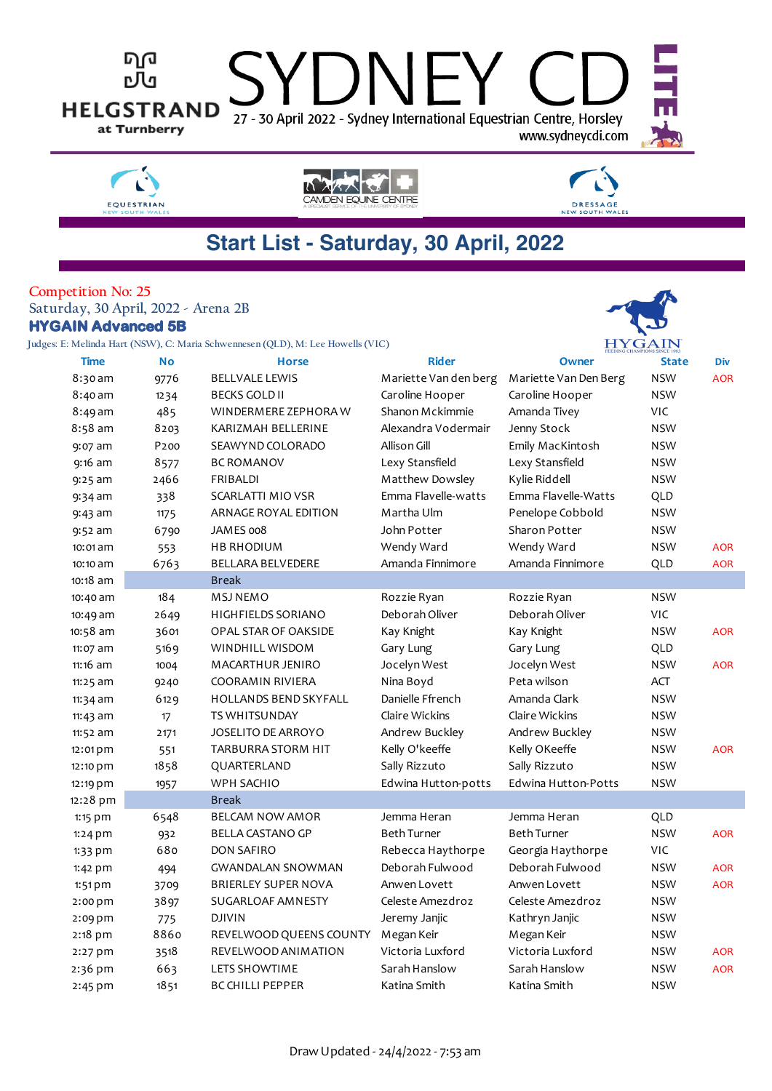

### **Start List - Saturday, 30 April, 2022**

#### **Competition No: 25 Saturday, 30 April, 2022 - Arena 2B HYGAIN Advanced 5B**

**Judges: E: Melinda Hart (NSW), C: Maria Schwennesen (QLD), M: Lee Howells (VIC)**

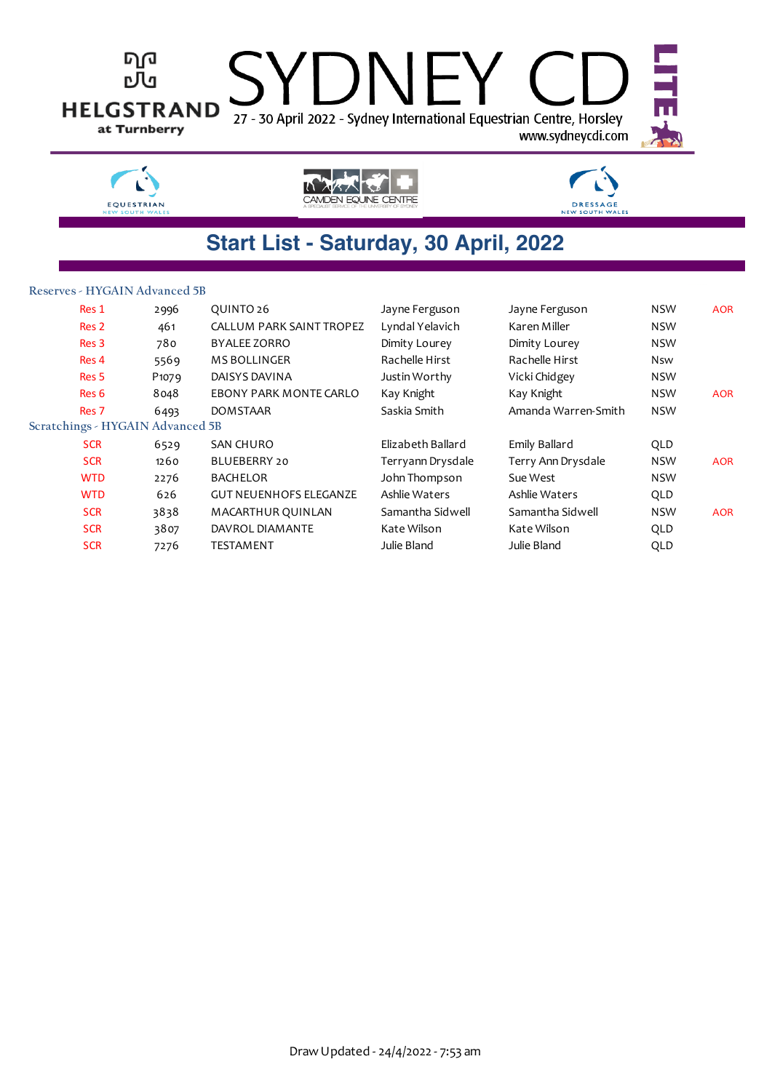

| Res 1                            | 2996              | QUINTO 26                       | Jayne Ferguson    | Jayne Ferguson      | <b>NSW</b> | <b>AOR</b> |
|----------------------------------|-------------------|---------------------------------|-------------------|---------------------|------------|------------|
| Res 2                            | 461               | <b>CALLUM PARK SAINT TROPEZ</b> | Lyndal Yelavich   | Karen Miller        | <b>NSW</b> |            |
| Res <sub>3</sub>                 | 780               | <b>BYALEE ZORRO</b>             | Dimity Lourey     | Dimity Lourey       | <b>NSW</b> |            |
| Res 4                            | 5569              | <b>MS BOLLINGER</b>             | Rachelle Hirst    | Rachelle Hirst      | <b>Nsw</b> |            |
| Res <sub>5</sub>                 | P <sub>1079</sub> | DAISYS DAVINA                   | Justin Worthy     | Vicki Chidgey       | <b>NSW</b> |            |
| Res 6                            | 8048              | EBONY PARK MONTE CARLO          | Kay Knight        | Kay Knight          | <b>NSW</b> | <b>AOR</b> |
| Res <sub>7</sub>                 | 6493              | <b>DOMSTAAR</b>                 | Saskia Smith      | Amanda Warren-Smith | <b>NSW</b> |            |
| Scratchings - HYGAIN Advanced 5B |                   |                                 |                   |                     |            |            |
| <b>SCR</b>                       | 6529              | SAN CHURO                       | Elizabeth Ballard | Emily Ballard       | QLD        |            |
| <b>SCR</b>                       | 1260              | BLUEBERRY 20                    | Terryann Drysdale | Terry Ann Drysdale  | <b>NSW</b> | <b>AOR</b> |
| <b>WTD</b>                       | 2276              | <b>BACHELOR</b>                 | John Thompson     | Sue West            | <b>NSW</b> |            |
| <b>WTD</b>                       | 626               | <b>GUT NEUENHOFS ELEGANZE</b>   | Ashlie Waters     | Ashlie Waters       | QLD        |            |
| <b>SCR</b>                       | 3838              | MACARTHUR QUINLAN               | Samantha Sidwell  | Samantha Sidwell    | <b>NSW</b> | <b>AOR</b> |
| <b>SCR</b>                       | 3807              | DAVROL DIAMANTE                 | Kate Wilson       | Kate Wilson         | QLD        |            |
| <b>SCR</b>                       | 7276              | <b>TESTAMENT</b>                | Julie Bland       | Julie Bland         | QLD        |            |
|                                  |                   |                                 |                   |                     |            |            |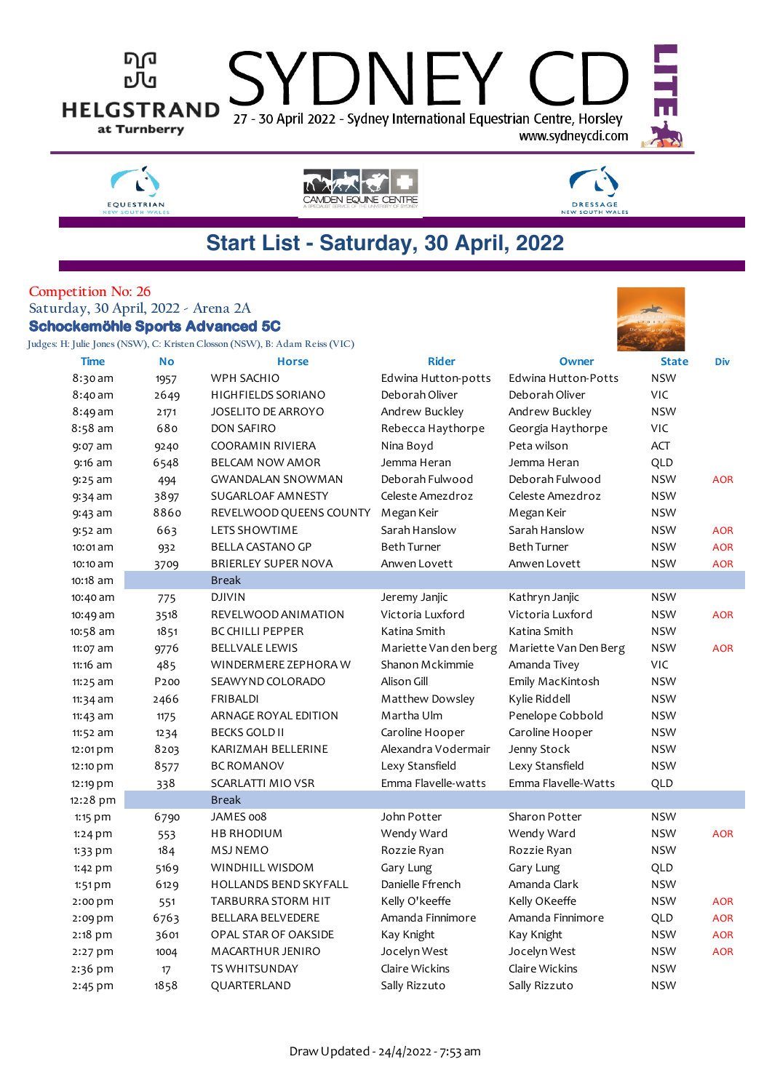



#### **Competition No: 26 Saturday, 30 April, 2022 - Arena 2A Schockemöhle Sports Advanced 5C**

**Judges: H: Julie Jones (NSW), C: Kristen Closson (NSW), B: Adam Reiss (VIC)**



| Time       | <b>No</b>        | <b>Horse</b>                 | <b>Rider</b>          | Owner                      | <b>State</b> | Div        |
|------------|------------------|------------------------------|-----------------------|----------------------------|--------------|------------|
| $8:30$ am  | 1957             | WPH SACHIO                   | Edwina Hutton-potts   | <b>Edwina Hutton-Potts</b> | <b>NSW</b>   |            |
| 8:40 am    | 2649             | <b>HIGHFIELDS SORIANO</b>    | Deborah Oliver        | Deborah Oliver             | VIC          |            |
| 8:49 am    | 2171             | <b>JOSELITO DE ARROYO</b>    | Andrew Buckley        | Andrew Buckley             | <b>NSW</b>   |            |
| 8:58 am    | 680              | <b>DON SAFIRO</b>            | Rebecca Haythorpe     | Georgia Haythorpe          | VIC          |            |
| 9:07 am    | 9240             | COORAMIN RIVIERA             | Nina Boyd             | Peta wilson                | <b>ACT</b>   |            |
| $9:16$ am  | 6548             | <b>BELCAM NOW AMOR</b>       | Jemma Heran           | Jemma Heran                | QLD          |            |
| $9:25$ am  | 494              | <b>GWANDALAN SNOWMAN</b>     | Deborah Fulwood       | Deborah Fulwood            | <b>NSW</b>   | <b>AOR</b> |
| $9:34$ am  | 3897             | SUGARLOAF AMNESTY            | Celeste Amezdroz      | Celeste Amezdroz           | <b>NSW</b>   |            |
| $9:43$ am  | 8860             | REVELWOOD QUEENS COUNTY      | Megan Keir            | Megan Keir                 | <b>NSW</b>   |            |
| $9:52$ am  | 663              | LETS SHOWTIME                | Sarah Hanslow         | Sarah Hanslow              | <b>NSW</b>   | <b>AOR</b> |
| 10:01 am   | 932              | <b>BELLA CASTANO GP</b>      | <b>Beth Turner</b>    | <b>Beth Turner</b>         | <b>NSW</b>   | <b>AOR</b> |
| 10:10 am   | 3709             | <b>BRIERLEY SUPER NOVA</b>   | Anwen Lovett          | Anwen Lovett               | <b>NSW</b>   | <b>AOR</b> |
| 10:18 am   |                  | <b>Break</b>                 |                       |                            |              |            |
| 10:40 am   | 775              | <b>DJIVIN</b>                | Jeremy Janjic         | Kathryn Janjic             | <b>NSW</b>   |            |
| 10:49 am   | 3518             | REVELWOOD ANIMATION          | Victoria Luxford      | Victoria Luxford           | <b>NSW</b>   | <b>AOR</b> |
| 10:58 am   | 1851             | <b>BC CHILLI PEPPER</b>      | Katina Smith          | Katina Smith               | <b>NSW</b>   |            |
| 11:07 am   | 9776             | <b>BELLVALE LEWIS</b>        | Mariette Van den berg | Mariette Van Den Berg      | <b>NSW</b>   | <b>AOR</b> |
| 11:16 am   | 485              | WINDERMERE ZEPHORA W         | Shanon Mckimmie       | Amanda Tivey               | VIC          |            |
| $11:25$ am | P <sub>200</sub> | SEAWYND COLORADO             | Alison Gill           | Emily MacKintosh           | <b>NSW</b>   |            |
| $11:34$ am | 2466             | <b>FRIBALDI</b>              | Matthew Dowsley       | Kylie Riddell              | <b>NSW</b>   |            |
| $11:43$ am | 1175             | ARNAGE ROYAL EDITION         | Martha Ulm            | Penelope Cobbold           | <b>NSW</b>   |            |
| 11:52 am   | 1234             | <b>BECKS GOLD II</b>         | Caroline Hooper       | Caroline Hooper            | <b>NSW</b>   |            |
| 12:01 pm   | 8203             | KARIZMAH BELLERINE           | Alexandra Vodermair   | Jenny Stock                | <b>NSW</b>   |            |
| 12:10 pm   | 8577             | <b>BC ROMANOV</b>            | Lexy Stansfield       | Lexy Stansfield            | <b>NSW</b>   |            |
| 12:19 pm   | 338              | SCARLATTI MIO VSR            | Emma Flavelle-watts   | Emma Flavelle-Watts        | QLD          |            |
| 12:28 pm   |                  | <b>Break</b>                 |                       |                            |              |            |
| $1:15$ pm  | 6790             | JAMES 008                    | John Potter           | Sharon Potter              | <b>NSW</b>   |            |
| $1:24$ pm  | 553              | <b>HB RHODIUM</b>            | Wendy Ward            | Wendy Ward                 | <b>NSW</b>   | <b>AOR</b> |
| $1:33$ pm  | 184              | <b>MSJ NEMO</b>              | Rozzie Ryan           | Rozzie Ryan                | NSW          |            |
| 1:42 pm    | 5169             | WINDHILL WISDOM              | Gary Lung             | Gary Lung                  | QLD          |            |
| $1:51$ pm  | 6129             | <b>HOLLANDS BEND SKYFALL</b> | Danielle Ffrench      | Amanda Clark               | <b>NSW</b>   |            |
| $2:00$ pm  | 551              | TARBURRA STORM HIT           | Kelly O'keeffe        | Kelly OKeeffe              | <b>NSW</b>   | <b>AOR</b> |
| 2:09 pm    | 6763             | <b>BELLARA BELVEDERE</b>     | Amanda Finnimore      | Amanda Finnimore           | QLD          | <b>AOR</b> |
| 2:18 pm    | 3601             | OPAL STAR OF OAKSIDE         | Kay Knight            | Kay Knight                 | <b>NSW</b>   | <b>AOR</b> |
| 2:27 pm    | 1004             | <b>MACARTHUR JENIRO</b>      | Jocelyn West          | Jocelyn West               | <b>NSW</b>   | <b>AOR</b> |
| 2:36 pm    | 17               | <b>TS WHITSUNDAY</b>         | Claire Wickins        | Claire Wickins             | <b>NSW</b>   |            |
| $2:45$ pm  | 1858             | QUARTERLAND                  | Sally Rizzuto         | Sally Rizzuto              | <b>NSW</b>   |            |
|            |                  |                              |                       |                            |              |            |